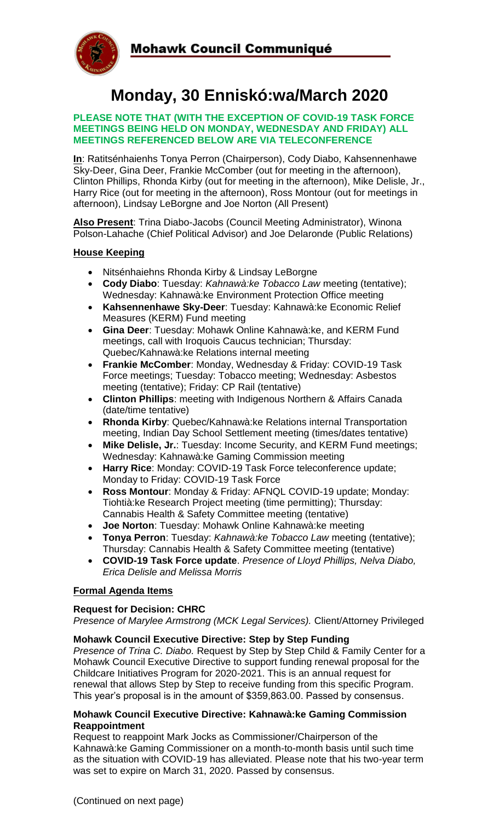

# **Monday, 30 Enniskó:wa/March 2020**

#### **PLEASE NOTE THAT (WITH THE EXCEPTION OF COVID-19 TASK FORCE MEETINGS BEING HELD ON MONDAY, WEDNESDAY AND FRIDAY) ALL MEETINGS REFERENCED BELOW ARE VIA TELECONFERENCE**

**In**: Ratitsénhaienhs Tonya Perron (Chairperson), Cody Diabo, Kahsennenhawe Sky-Deer, Gina Deer, Frankie McComber (out for meeting in the afternoon), Clinton Phillips, Rhonda Kirby (out for meeting in the afternoon), Mike Delisle, Jr., Harry Rice (out for meeting in the afternoon), Ross Montour (out for meetings in afternoon), Lindsay LeBorgne and Joe Norton (All Present)

**Also Present**: Trina Diabo-Jacobs (Council Meeting Administrator), Winona Polson-Lahache (Chief Political Advisor) and Joe Delaronde (Public Relations)

#### **House Keeping**

- Nitsénhaiehns Rhonda Kirby & Lindsay LeBorgne
- **Cody Diabo**: Tuesday: *Kahnawà:ke Tobacco Law* meeting (tentative); Wednesday: Kahnawà:ke Environment Protection Office meeting
- **Kahsennenhawe Sky-Deer**: Tuesday: Kahnawà:ke Economic Relief Measures (KERM) Fund meeting
- **Gina Deer**: Tuesday: Mohawk Online Kahnawà:ke, and KERM Fund meetings, call with Iroquois Caucus technician; Thursday: Quebec/Kahnawà:ke Relations internal meeting
- **Frankie McComber**: Monday, Wednesday & Friday: COVID-19 Task Force meetings; Tuesday: Tobacco meeting; Wednesday: Asbestos meeting (tentative); Friday: CP Rail (tentative)
- **Clinton Phillips**: meeting with Indigenous Northern & Affairs Canada (date/time tentative)
- **Rhonda Kirby**: Quebec/Kahnawà:ke Relations internal Transportation meeting, Indian Day School Settlement meeting (times/dates tentative)
- **Mike Delisle, Jr.**: Tuesday: Income Security, and KERM Fund meetings; Wednesday: Kahnawà:ke Gaming Commission meeting
- **Harry Rice**: Monday: COVID-19 Task Force teleconference update; Monday to Friday: COVID-19 Task Force
- **Ross Montour**: Monday & Friday: AFNQL COVID-19 update; Monday: Tiohtià:ke Research Project meeting (time permitting); Thursday: Cannabis Health & Safety Committee meeting (tentative)
- **Joe Norton**: Tuesday: Mohawk Online Kahnawà:ke meeting
- **Tonya Perron**: Tuesday: *Kahnawà:ke Tobacco Law* meeting (tentative); Thursday: Cannabis Health & Safety Committee meeting (tentative)
- **COVID-19 Task Force update**. *Presence of Lloyd Phillips, Nelva Diabo, Erica Delisle and Melissa Morris*

### **Formal Agenda Items**

#### **Request for Decision: CHRC**

*Presence of Marylee Armstrong (MCK Legal Services).* Client/Attorney Privileged

#### **Mohawk Council Executive Directive: Step by Step Funding**

*Presence of Trina C. Diabo.* Request by Step by Step Child & Family Center for a Mohawk Council Executive Directive to support funding renewal proposal for the Childcare Initiatives Program for 2020-2021. This is an annual request for renewal that allows Step by Step to receive funding from this specific Program. This year's proposal is in the amount of \$359,863.00. Passed by consensus.

#### **Mohawk Council Executive Directive: Kahnawà:ke Gaming Commission Reappointment**

Request to reappoint Mark Jocks as Commissioner/Chairperson of the Kahnawà:ke Gaming Commissioner on a month-to-month basis until such time as the situation with COVID-19 has alleviated. Please note that his two-year term was set to expire on March 31, 2020. Passed by consensus.